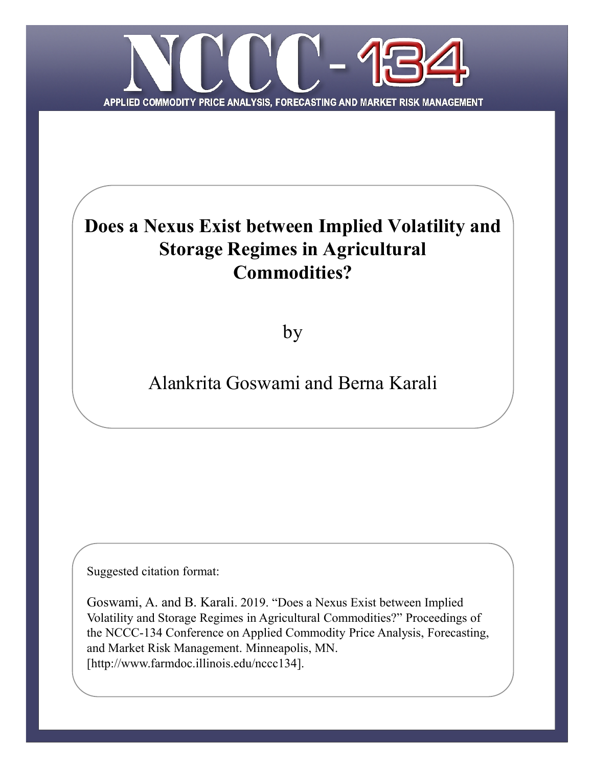

# **Does a Nexus Exist between Implied Volatility and Storage Regimes in Agricultural Commodities?**

by

# Alankrita Goswami and Berna Karali

Suggested citation format:

Goswami, A. and B. Karali. 2019. "Does a Nexus Exist between Implied Volatility and Storage Regimes in Agricultural Commodities?" Proceedings of the NCCC-134 Conference on Applied Commodity Price Analysis, Forecasting, and Market Risk Management. Minneapolis, MN. [http://www.farmdoc.illinois.edu/nccc134].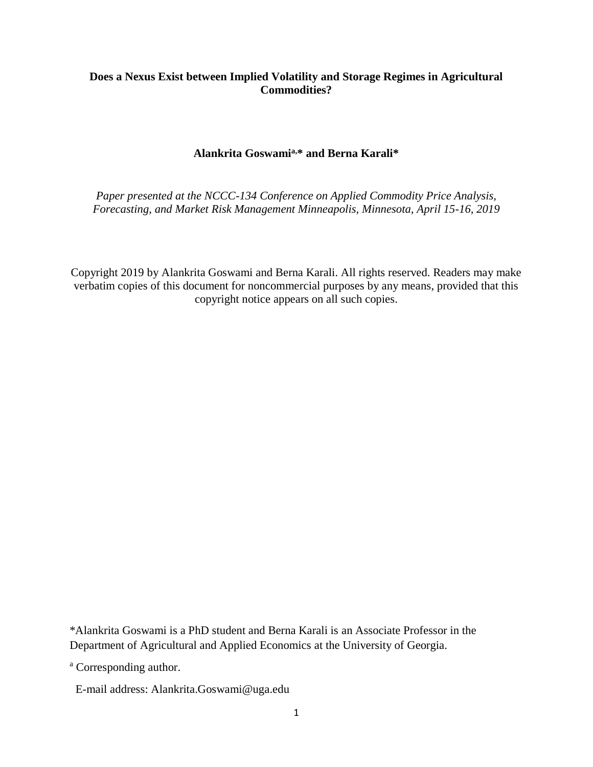# **Does a Nexus Exist between Implied Volatility and Storage Regimes in Agricultural Commodities?**

# **Alankrita Goswamia,\* and Berna Karali\***

*Paper presented at the NCCC-134 Conference on Applied Commodity Price Analysis, Forecasting, and Market Risk Management Minneapolis, Minnesota, April 15-16, 2019*

Copyright 2019 by Alankrita Goswami and Berna Karali. All rights reserved. Readers may make verbatim copies of this document for noncommercial purposes by any means, provided that this copyright notice appears on all such copies.

\*Alankrita Goswami is a PhD student and Berna Karali is an Associate Professor in the Department of Agricultural and Applied Economics at the University of Georgia.

<sup>a</sup> Corresponding author.

E-mail address: Alankrita.Goswami@uga.edu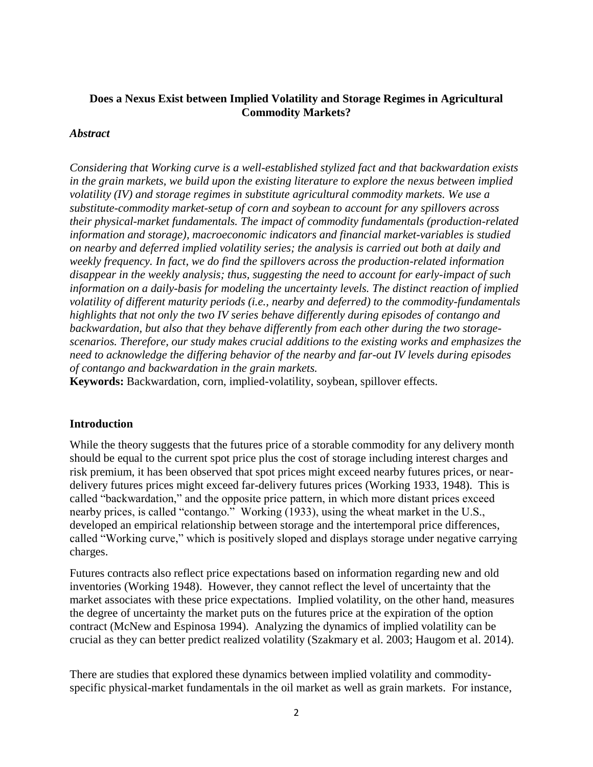# **Does a Nexus Exist between Implied Volatility and Storage Regimes in Agricultural Commodity Markets?**

## *Abstract*

*Considering that Working curve is a well-established stylized fact and that backwardation exists in the grain markets, we build upon the existing literature to explore the nexus between implied volatility (IV) and storage regimes in substitute agricultural commodity markets. We use a substitute-commodity market-setup of corn and soybean to account for any spillovers across their physical-market fundamentals. The impact of commodity fundamentals (production-related information and storage), macroeconomic indicators and financial market-variables is studied on nearby and deferred implied volatility series; the analysis is carried out both at daily and weekly frequency. In fact, we do find the spillovers across the production-related information disappear in the weekly analysis; thus, suggesting the need to account for early-impact of such information on a daily-basis for modeling the uncertainty levels. The distinct reaction of implied volatility of different maturity periods (i.e., nearby and deferred) to the commodity-fundamentals highlights that not only the two IV series behave differently during episodes of contango and backwardation, but also that they behave differently from each other during the two storagescenarios. Therefore, our study makes crucial additions to the existing works and emphasizes the need to acknowledge the differing behavior of the nearby and far-out IV levels during episodes of contango and backwardation in the grain markets.* 

**Keywords:** Backwardation, corn, implied-volatility, soybean, spillover effects.

## **Introduction**

While the theory suggests that the futures price of a storable commodity for any delivery month should be equal to the current spot price plus the cost of storage including interest charges and risk premium, it has been observed that spot prices might exceed nearby futures prices, or neardelivery futures prices might exceed far-delivery futures prices (Working 1933, 1948). This is called "backwardation," and the opposite price pattern, in which more distant prices exceed nearby prices, is called "contango." Working (1933), using the wheat market in the U.S., developed an empirical relationship between storage and the intertemporal price differences, called "Working curve," which is positively sloped and displays storage under negative carrying charges.

Futures contracts also reflect price expectations based on information regarding new and old inventories (Working 1948). However, they cannot reflect the level of uncertainty that the market associates with these price expectations. Implied volatility, on the other hand, measures the degree of uncertainty the market puts on the futures price at the expiration of the option contract (McNew and Espinosa 1994). Analyzing the dynamics of implied volatility can be crucial as they can better predict realized volatility (Szakmary et al. 2003; Haugom et al. 2014).

There are studies that explored these dynamics between implied volatility and commodityspecific physical-market fundamentals in the oil market as well as grain markets. For instance,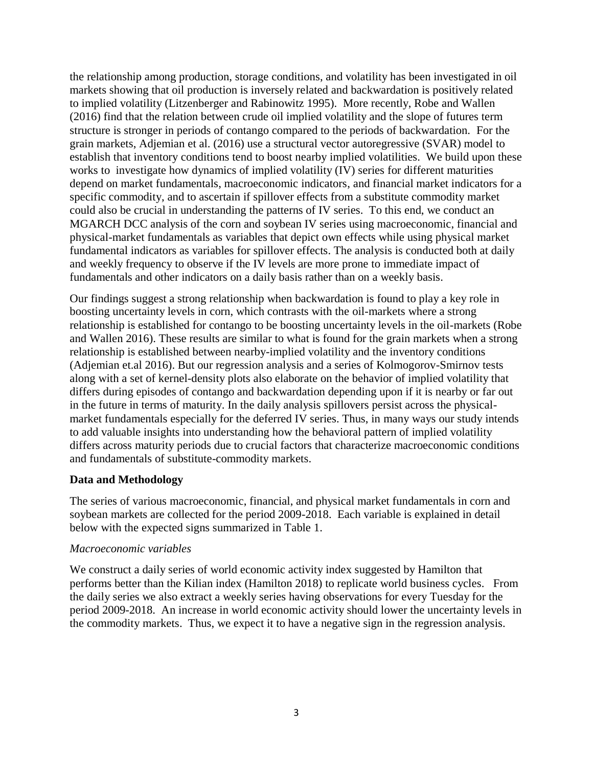the relationship among production, storage conditions, and volatility has been investigated in oil markets showing that oil production is inversely related and backwardation is positively related to implied volatility (Litzenberger and Rabinowitz 1995). More recently, Robe and Wallen (2016) find that the relation between crude oil implied volatility and the slope of futures term structure is stronger in periods of contango compared to the periods of backwardation. For the grain markets, Adjemian et al. (2016) use a structural vector autoregressive (SVAR) model to establish that inventory conditions tend to boost nearby implied volatilities. We build upon these works to investigate how dynamics of implied volatility (IV) series for different maturities depend on market fundamentals, macroeconomic indicators, and financial market indicators for a specific commodity, and to ascertain if spillover effects from a substitute commodity market could also be crucial in understanding the patterns of IV series. To this end, we conduct an MGARCH DCC analysis of the corn and soybean IV series using macroeconomic, financial and physical-market fundamentals as variables that depict own effects while using physical market fundamental indicators as variables for spillover effects. The analysis is conducted both at daily and weekly frequency to observe if the IV levels are more prone to immediate impact of fundamentals and other indicators on a daily basis rather than on a weekly basis.

Our findings suggest a strong relationship when backwardation is found to play a key role in boosting uncertainty levels in corn, which contrasts with the oil-markets where a strong relationship is established for contango to be boosting uncertainty levels in the oil-markets (Robe and Wallen 2016). These results are similar to what is found for the grain markets when a strong relationship is established between nearby-implied volatility and the inventory conditions (Adjemian et.al 2016). But our regression analysis and a series of Kolmogorov-Smirnov tests along with a set of kernel-density plots also elaborate on the behavior of implied volatility that differs during episodes of contango and backwardation depending upon if it is nearby or far out in the future in terms of maturity. In the daily analysis spillovers persist across the physicalmarket fundamentals especially for the deferred IV series. Thus, in many ways our study intends to add valuable insights into understanding how the behavioral pattern of implied volatility differs across maturity periods due to crucial factors that characterize macroeconomic conditions and fundamentals of substitute-commodity markets.

# **Data and Methodology**

The series of various macroeconomic, financial, and physical market fundamentals in corn and soybean markets are collected for the period 2009-2018. Each variable is explained in detail below with the expected signs summarized in Table 1.

## *Macroeconomic variables*

We construct a daily series of world economic activity index suggested by Hamilton that performs better than the Kilian index (Hamilton 2018) to replicate world business cycles. From the daily series we also extract a weekly series having observations for every Tuesday for the period 2009-2018. An increase in world economic activity should lower the uncertainty levels in the commodity markets. Thus, we expect it to have a negative sign in the regression analysis.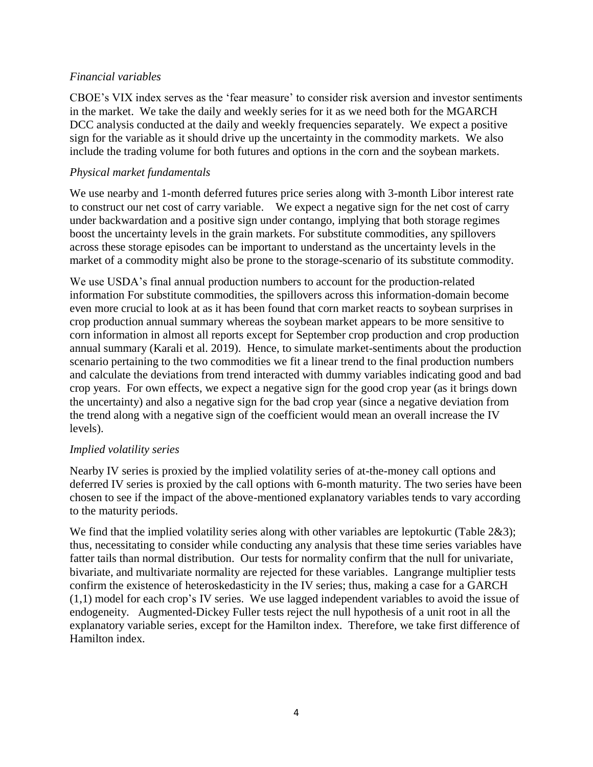# *Financial variables*

CBOE's VIX index serves as the 'fear measure' to consider risk aversion and investor sentiments in the market. We take the daily and weekly series for it as we need both for the MGARCH DCC analysis conducted at the daily and weekly frequencies separately. We expect a positive sign for the variable as it should drive up the uncertainty in the commodity markets. We also include the trading volume for both futures and options in the corn and the soybean markets.

# *Physical market fundamentals*

We use nearby and 1-month deferred futures price series along with 3-month Libor interest rate to construct our net cost of carry variable. We expect a negative sign for the net cost of carry under backwardation and a positive sign under contango, implying that both storage regimes boost the uncertainty levels in the grain markets. For substitute commodities, any spillovers across these storage episodes can be important to understand as the uncertainty levels in the market of a commodity might also be prone to the storage-scenario of its substitute commodity.

We use USDA's final annual production numbers to account for the production-related information For substitute commodities, the spillovers across this information-domain become even more crucial to look at as it has been found that corn market reacts to soybean surprises in crop production annual summary whereas the soybean market appears to be more sensitive to corn information in almost all reports except for September crop production and crop production annual summary (Karali et al. 2019). Hence, to simulate market-sentiments about the production scenario pertaining to the two commodities we fit a linear trend to the final production numbers and calculate the deviations from trend interacted with dummy variables indicating good and bad crop years. For own effects, we expect a negative sign for the good crop year (as it brings down the uncertainty) and also a negative sign for the bad crop year (since a negative deviation from the trend along with a negative sign of the coefficient would mean an overall increase the IV levels).

# *Implied volatility series*

Nearby IV series is proxied by the implied volatility series of at-the-money call options and deferred IV series is proxied by the call options with 6-month maturity. The two series have been chosen to see if the impact of the above-mentioned explanatory variables tends to vary according to the maturity periods.

We find that the implied volatility series along with other variables are leptokurtic (Table 2&3); thus, necessitating to consider while conducting any analysis that these time series variables have fatter tails than normal distribution. Our tests for normality confirm that the null for univariate, bivariate, and multivariate normality are rejected for these variables. Langrange multiplier tests confirm the existence of heteroskedasticity in the IV series; thus, making a case for a GARCH (1,1) model for each crop's IV series. We use lagged independent variables to avoid the issue of endogeneity. Augmented-Dickey Fuller tests reject the null hypothesis of a unit root in all the explanatory variable series, except for the Hamilton index. Therefore, we take first difference of Hamilton index.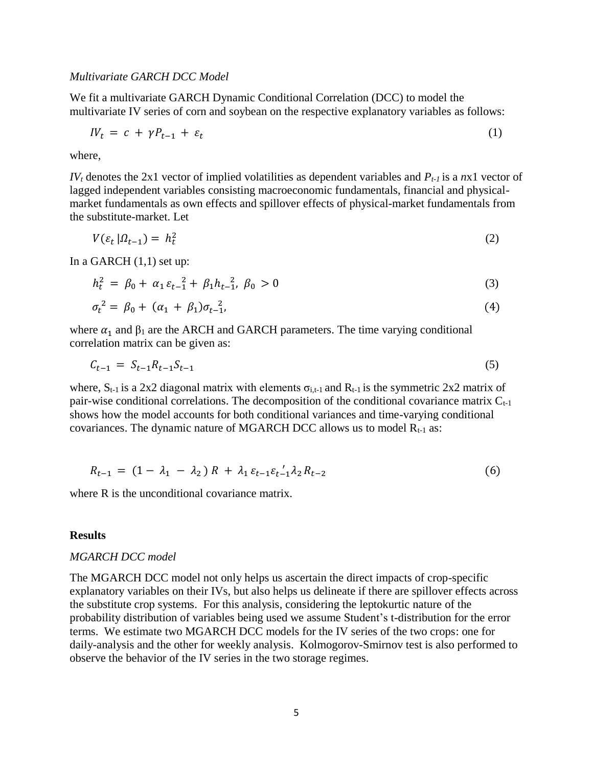#### *Multivariate GARCH DCC Model*

We fit a multivariate GARCH Dynamic Conditional Correlation (DCC) to model the multivariate IV series of corn and soybean on the respective explanatory variables as follows:

$$
IV_t = c + \gamma P_{t-1} + \varepsilon_t \tag{1}
$$

where,

*IV<sup>t</sup>* denotes the 2x1 vector of implied volatilities as dependent variables and *Pt-1* is a *n*x1 vector of lagged independent variables consisting macroeconomic fundamentals, financial and physicalmarket fundamentals as own effects and spillover effects of physical-market fundamentals from the substitute-market. Let

$$
V(\varepsilon_t \,|\Omega_{t-1}) = h_t^2 \tag{2}
$$

In a GARCH  $(1,1)$  set up:

$$
h_t^2 = \beta_0 + \alpha_1 \varepsilon_{t-1}^2 + \beta_1 h_{t-1}^2, \ \beta_0 > 0 \tag{3}
$$

$$
\sigma_t^2 = \beta_0 + (\alpha_1 + \beta_1)\sigma_{t-1}^2,\tag{4}
$$

where  $\alpha_1$  and  $\beta_1$  are the ARCH and GARCH parameters. The time varying conditional correlation matrix can be given as:

$$
C_{t-1} = S_{t-1}R_{t-1}S_{t-1} \tag{5}
$$

where,  $S_{t-1}$  is a 2x2 diagonal matrix with elements  $\sigma_{i,t-1}$  and  $R_{t-1}$  is the symmetric 2x2 matrix of pair-wise conditional correlations. The decomposition of the conditional covariance matrix  $C_{t-1}$ shows how the model accounts for both conditional variances and time-varying conditional covariances. The dynamic nature of MGARCH DCC allows us to model  $R_{t-1}$  as:

$$
R_{t-1} = (1 - \lambda_1 - \lambda_2) R + \lambda_1 \varepsilon_{t-1} \varepsilon_{t-1} / \lambda_2 R_{t-2}
$$
 (6)

where R is the unconditional covariance matrix.

#### **Results**

#### *MGARCH DCC model*

The MGARCH DCC model not only helps us ascertain the direct impacts of crop-specific explanatory variables on their IVs, but also helps us delineate if there are spillover effects across the substitute crop systems. For this analysis, considering the leptokurtic nature of the probability distribution of variables being used we assume Student's t-distribution for the error terms. We estimate two MGARCH DCC models for the IV series of the two crops: one for daily-analysis and the other for weekly analysis. Kolmogorov-Smirnov test is also performed to observe the behavior of the IV series in the two storage regimes.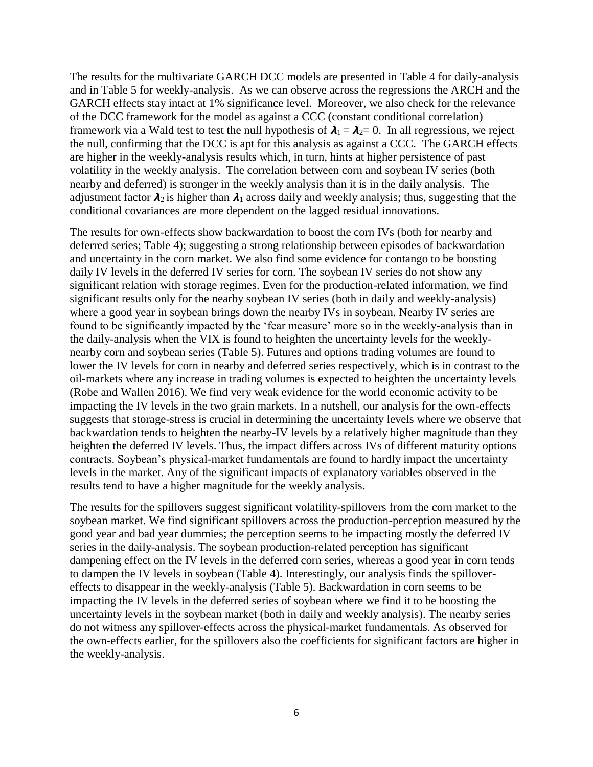The results for the multivariate GARCH DCC models are presented in Table 4 for daily-analysis and in Table 5 for weekly-analysis. As we can observe across the regressions the ARCH and the GARCH effects stay intact at 1% significance level. Moreover, we also check for the relevance of the DCC framework for the model as against a CCC (constant conditional correlation) framework via a Wald test to test the null hypothesis of  $\lambda_1 = \lambda_2 = 0$ . In all regressions, we reject the null, confirming that the DCC is apt for this analysis as against a CCC. The GARCH effects are higher in the weekly-analysis results which, in turn, hints at higher persistence of past volatility in the weekly analysis. The correlation between corn and soybean IV series (both nearby and deferred) is stronger in the weekly analysis than it is in the daily analysis. The adjustment factor  $\lambda_2$  is higher than  $\lambda_1$  across daily and weekly analysis; thus, suggesting that the conditional covariances are more dependent on the lagged residual innovations.

The results for own-effects show backwardation to boost the corn IVs (both for nearby and deferred series; Table 4); suggesting a strong relationship between episodes of backwardation and uncertainty in the corn market. We also find some evidence for contango to be boosting daily IV levels in the deferred IV series for corn. The soybean IV series do not show any significant relation with storage regimes. Even for the production-related information, we find significant results only for the nearby soybean IV series (both in daily and weekly-analysis) where a good year in soybean brings down the nearby IVs in soybean. Nearby IV series are found to be significantly impacted by the 'fear measure' more so in the weekly-analysis than in the daily-analysis when the VIX is found to heighten the uncertainty levels for the weeklynearby corn and soybean series (Table 5). Futures and options trading volumes are found to lower the IV levels for corn in nearby and deferred series respectively, which is in contrast to the oil-markets where any increase in trading volumes is expected to heighten the uncertainty levels (Robe and Wallen 2016). We find very weak evidence for the world economic activity to be impacting the IV levels in the two grain markets. In a nutshell, our analysis for the own-effects suggests that storage-stress is crucial in determining the uncertainty levels where we observe that backwardation tends to heighten the nearby-IV levels by a relatively higher magnitude than they heighten the deferred IV levels. Thus, the impact differs across IVs of different maturity options contracts. Soybean's physical-market fundamentals are found to hardly impact the uncertainty levels in the market. Any of the significant impacts of explanatory variables observed in the results tend to have a higher magnitude for the weekly analysis.

The results for the spillovers suggest significant volatility-spillovers from the corn market to the soybean market. We find significant spillovers across the production-perception measured by the good year and bad year dummies; the perception seems to be impacting mostly the deferred IV series in the daily-analysis. The soybean production-related perception has significant dampening effect on the IV levels in the deferred corn series, whereas a good year in corn tends to dampen the IV levels in soybean (Table 4). Interestingly, our analysis finds the spillovereffects to disappear in the weekly-analysis (Table 5). Backwardation in corn seems to be impacting the IV levels in the deferred series of soybean where we find it to be boosting the uncertainty levels in the soybean market (both in daily and weekly analysis). The nearby series do not witness any spillover-effects across the physical-market fundamentals. As observed for the own-effects earlier, for the spillovers also the coefficients for significant factors are higher in the weekly-analysis.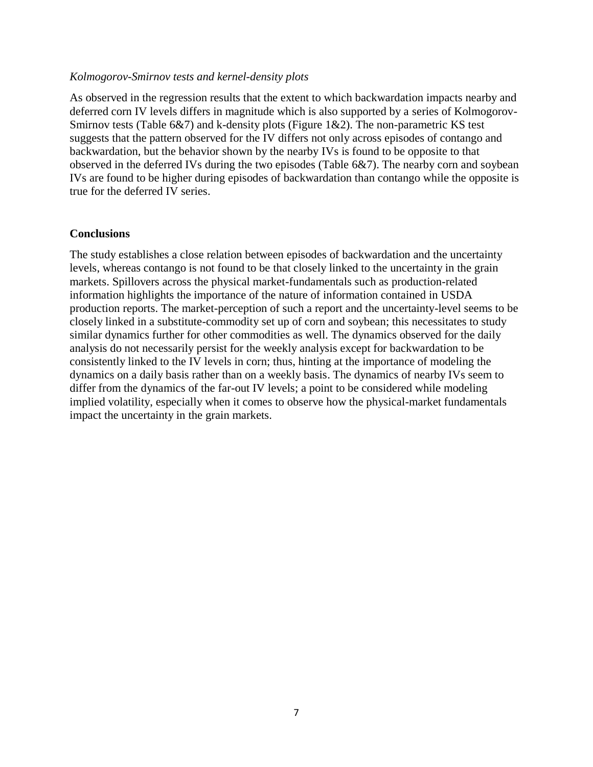## *Kolmogorov-Smirnov tests and kernel-density plots*

As observed in the regression results that the extent to which backwardation impacts nearby and deferred corn IV levels differs in magnitude which is also supported by a series of Kolmogorov-Smirnov tests (Table 6&7) and k-density plots (Figure 1&2). The non-parametric KS test suggests that the pattern observed for the IV differs not only across episodes of contango and backwardation, but the behavior shown by the nearby IVs is found to be opposite to that observed in the deferred IVs during the two episodes (Table 6&7). The nearby corn and soybean IVs are found to be higher during episodes of backwardation than contango while the opposite is true for the deferred IV series.

## **Conclusions**

The study establishes a close relation between episodes of backwardation and the uncertainty levels, whereas contango is not found to be that closely linked to the uncertainty in the grain markets. Spillovers across the physical market-fundamentals such as production-related information highlights the importance of the nature of information contained in USDA production reports. The market-perception of such a report and the uncertainty-level seems to be closely linked in a substitute-commodity set up of corn and soybean; this necessitates to study similar dynamics further for other commodities as well. The dynamics observed for the daily analysis do not necessarily persist for the weekly analysis except for backwardation to be consistently linked to the IV levels in corn; thus, hinting at the importance of modeling the dynamics on a daily basis rather than on a weekly basis. The dynamics of nearby IVs seem to differ from the dynamics of the far-out IV levels; a point to be considered while modeling implied volatility, especially when it comes to observe how the physical-market fundamentals impact the uncertainty in the grain markets.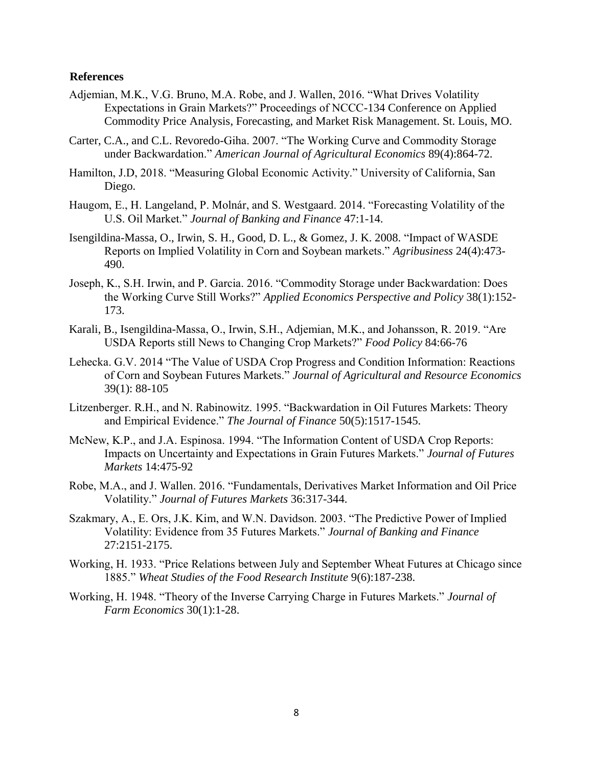### **References**

- Adjemian, M.K., V.G. Bruno, M.A. Robe, and J. Wallen, 2016. "What Drives Volatility Expectations in Grain Markets?" Proceedings of NCCC-134 Conference on Applied Commodity Price Analysis, Forecasting, and Market Risk Management. St. Louis, MO.
- Carter, C.A., and C.L. Revoredo-Giha. 2007. "The Working Curve and Commodity Storage under Backwardation." *American Journal of Agricultural Economics* 89(4):864-72.
- Hamilton, J.D, 2018. "Measuring Global Economic Activity." University of California, San Diego.
- Haugom, E., H. Langeland, P. Molnár, and S. Westgaard. 2014. "Forecasting Volatility of the U.S. Oil Market." *Journal of Banking and Finance* 47:1-14.
- Isengildina-Massa, O., Irwin, S. H., Good, D. L., & Gomez, J. K. 2008. "Impact of WASDE Reports on Implied Volatility in Corn and Soybean markets." *Agribusiness* 24(4):473- 490.
- Joseph, K., S.H. Irwin, and P. Garcia. 2016. "Commodity Storage under Backwardation: Does the Working Curve Still Works?" *Applied Economics Perspective and Policy* 38(1):152- 173.
- Karali, B., Isengildina-Massa, O., Irwin, S.H., Adjemian, M.K., and Johansson, R. 2019. "Are USDA Reports still News to Changing Crop Markets?" *Food Policy* 84:66-76
- Lehecka. G.V. 2014 "The Value of USDA Crop Progress and Condition Information: Reactions of Corn and Soybean Futures Markets." *Journal of Agricultural and Resource Economics* 39(1): 88-105
- Litzenberger. R.H., and N. Rabinowitz. 1995. "Backwardation in Oil Futures Markets: Theory and Empirical Evidence." *The Journal of Finance* 50(5):1517-1545.
- McNew, K.P., and J.A. Espinosa. 1994. "The Information Content of USDA Crop Reports: Impacts on Uncertainty and Expectations in Grain Futures Markets." *Journal of Futures Markets* 14:475-92
- Robe, M.A., and J. Wallen. 2016. "Fundamentals, Derivatives Market Information and Oil Price Volatility." *Journal of Futures Markets* 36:317-344.
- Szakmary, A., E. Ors, J.K. Kim, and W.N. Davidson. 2003. "The Predictive Power of Implied Volatility: Evidence from 35 Futures Markets." *Journal of Banking and Finance*  27:2151-2175.
- Working, H. 1933. "Price Relations between July and September Wheat Futures at Chicago since 1885." *Wheat Studies of the Food Research Institute* 9(6):187-238.
- Working, H. 1948. "Theory of the Inverse Carrying Charge in Futures Markets." *Journal of Farm Economics* 30(1):1-28.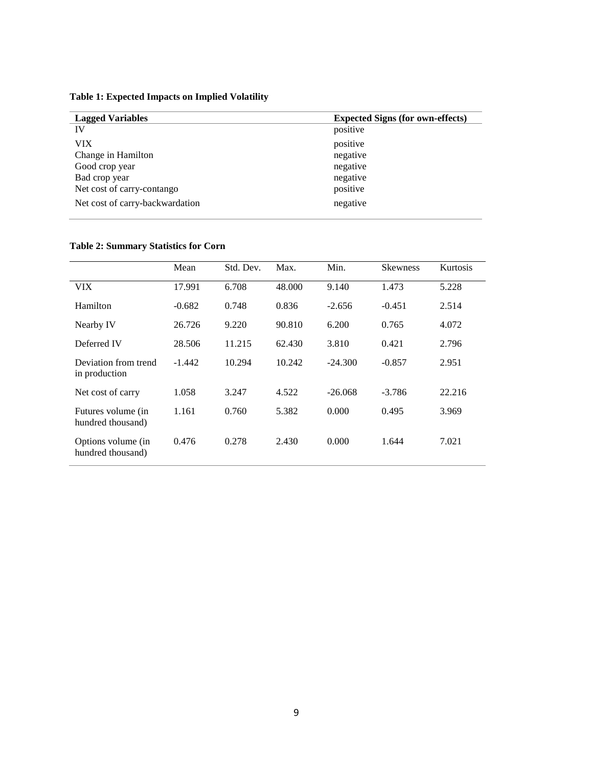**Table 1: Expected Impacts on Implied Volatility**

| <b>Lagged Variables</b>         | <b>Expected Signs (for own-effects)</b> |
|---------------------------------|-----------------------------------------|
| IV                              | positive                                |
| VIX.                            | positive                                |
| Change in Hamilton              | negative                                |
| Good crop year                  | negative                                |
| Bad crop year                   | negative                                |
| Net cost of carry-contango      | positive                                |
| Net cost of carry-backwardation | negative                                |

## **Table 2: Summary Statistics for Corn**

|                                         | Mean     | Std. Dev. | Max.   | Min.      | <b>Skewness</b> | <b>Kurtosis</b> |
|-----------------------------------------|----------|-----------|--------|-----------|-----------------|-----------------|
|                                         |          |           |        |           |                 |                 |
| VIX                                     | 17.991   | 6.708     | 48.000 | 9.140     | 1.473           | 5.228           |
| Hamilton                                | $-0.682$ | 0.748     | 0.836  | $-2.656$  | $-0.451$        | 2.514           |
| Nearby IV                               | 26.726   | 9.220     | 90.810 | 6.200     | 0.765           | 4.072           |
| Deferred IV                             | 28.506   | 11.215    | 62.430 | 3.810     | 0.421           | 2.796           |
| Deviation from trend<br>in production   | $-1.442$ | 10.294    | 10.242 | $-24.300$ | $-0.857$        | 2.951           |
| Net cost of carry                       | 1.058    | 3.247     | 4.522  | $-26.068$ | $-3.786$        | 22.216          |
| Futures volume (in<br>hundred thousand) | 1.161    | 0.760     | 5.382  | 0.000     | 0.495           | 3.969           |
| Options volume (in<br>hundred thousand) | 0.476    | 0.278     | 2.430  | 0.000     | 1.644           | 7.021           |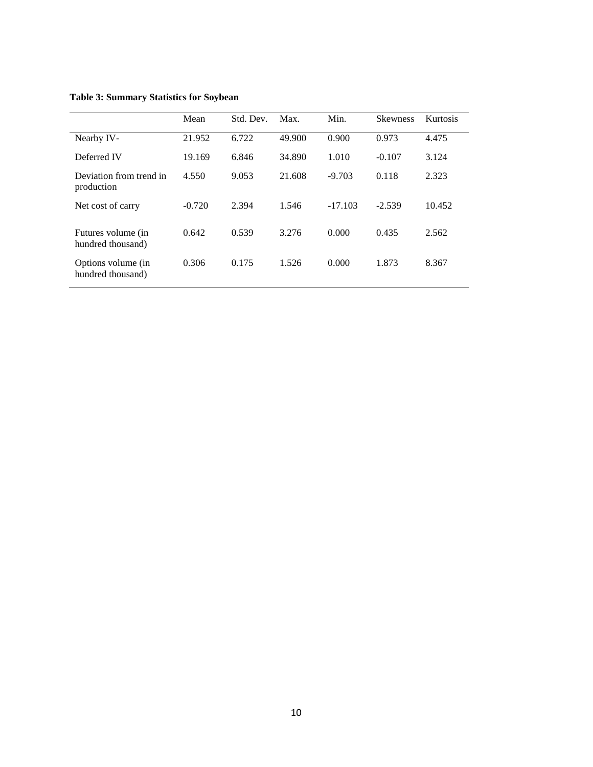| <b>Table 3: Summary Statistics for Soybean</b> |  |  |
|------------------------------------------------|--|--|
|------------------------------------------------|--|--|

|                                         | Mean     | Std. Dev. | Max.   | Min.      | <b>Skewness</b> | Kurtosis |
|-----------------------------------------|----------|-----------|--------|-----------|-----------------|----------|
| Nearby IV-                              | 21.952   | 6.722     | 49.900 | 0.900     | 0.973           | 4.475    |
| Deferred IV                             | 19.169   | 6.846     | 34.890 | 1.010     | $-0.107$        | 3.124    |
| Deviation from trend in<br>production   | 4.550    | 9.053     | 21.608 | $-9.703$  | 0.118           | 2.323    |
| Net cost of carry                       | $-0.720$ | 2.394     | 1.546  | $-17.103$ | $-2.539$        | 10.452   |
| Futures volume (in<br>hundred thousand) | 0.642    | 0.539     | 3.276  | 0.000     | 0.435           | 2.562    |
| Options volume (in<br>hundred thousand) | 0.306    | 0.175     | 1.526  | 0.000     | 1.873           | 8.367    |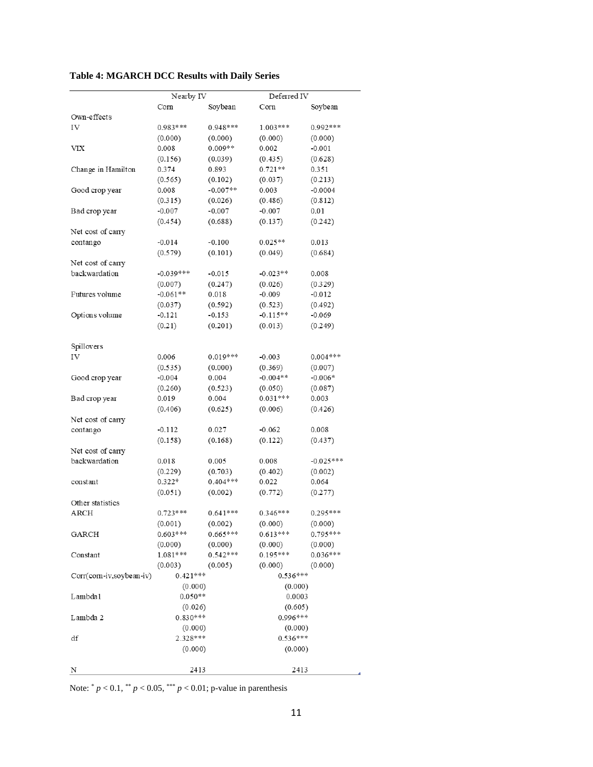| <b>Table 4: MGARCH DCC Results with Daily Series</b> |  |  |  |
|------------------------------------------------------|--|--|--|
|------------------------------------------------------|--|--|--|

|                         | Nearby IV   |            | Deferred IV |             |  |
|-------------------------|-------------|------------|-------------|-------------|--|
|                         | Com         | Soybean    | Corn        | Soybean     |  |
| Own-effects             |             |            |             |             |  |
| IV                      | $0.983***$  | $0.948***$ | $1.003***$  | $0.992***$  |  |
|                         | (0.000)     | (0.000)    | (0.000)     | (0.000)     |  |
| VIX                     | 0.008       | $0.009**$  | 0.002       | $-0.001$    |  |
|                         | (0.156)     | (0.039)    | (0.435)     | (0.628)     |  |
| Change in Hamilton      | 0.374       | 0.893      | $0.721**$   | 0.351       |  |
|                         | (0.565)     | (0.102)    | (0.037)     | (0.213)     |  |
| Good crop year          | 0.008       | $-0.007**$ | 0.003       | $-0.0004$   |  |
|                         | (0.315)     | (0.026)    | (0.486)     | (0.812)     |  |
| Bad crop year           | $-0.007$    | $-0.007$   | $-0.007$    | 0.01        |  |
|                         | (0.454)     | (0.688)    | (0.137)     | (0.242)     |  |
| Net cost of carry       |             |            |             |             |  |
| contango                | $-0.014$    | $-0.100$   | $0.025**$   | 0.013       |  |
|                         | (0.579)     | (0.101)    |             | (0.684)     |  |
| Net cost of carry       |             |            | (0.049)     |             |  |
| backwardation           | $-0.039***$ |            | $-0.023**$  |             |  |
|                         |             | $-0.015$   |             | 0.008       |  |
|                         | (0.007)     | (0.247)    | (0.026)     | (0.329)     |  |
| Futures volume          | $-0.061**$  | 0.018      | $-0.009$    | $-0.012$    |  |
|                         | (0.037)     | (0.592)    | (0.523)     | (0.492)     |  |
| Options volume          | $-0.121$    | $-0.153$   | $-0.115**$  | $-0.069$    |  |
|                         | (0.21)      | (0.201)    | (0.013)     | (0.249)     |  |
|                         |             |            |             |             |  |
| Spillovers              |             |            |             |             |  |
| IV                      | 0.006       | $0.019***$ | $-0.003$    | $0.004***$  |  |
|                         | (0.535)     | (0.000)    | (0.369)     | (0.007)     |  |
| Good crop year          | $-0.004$    | 0.004      | $-0.004**$  | $-0.006*$   |  |
|                         | (0.260)     | (0.523)    | (0.050)     | (0.087)     |  |
| Bad crop year           | 0.019       | 0.004      | $0.031***$  | 0.003       |  |
|                         | (0.406)     | (0.625)    | (0.006)     | (0.426)     |  |
| Net cost of carry       |             |            |             |             |  |
| contango                | $-0.112$    | 0.027      | $-0.062$    | 0.008       |  |
|                         | (0.158)     | (0.168)    | (0.122)     | (0.437)     |  |
| Net cost of carry       |             |            |             |             |  |
| backwardation           | 0.018       | 0.005      | 0.008       | $-0.025***$ |  |
|                         | (0.229)     | (0.703)    | (0.402)     | (0.002)     |  |
| constant                | $0.322*$    | $0.404***$ | 0.022       | 0.064       |  |
|                         | (0.051)     | (0.002)    | (0.772)     | (0.277)     |  |
| Other statistics        |             |            |             |             |  |
| ARCH                    | $0.723***$  | $0.641***$ | $0.346***$  | $0.295***$  |  |
|                         | (0.001)     | (0.002)    | (0.000)     | (0.000)     |  |
| <b>GARCH</b>            | $0.603***$  | $0.665***$ | $0.613***$  | $0.795***$  |  |
|                         | (0.000)     | (0.000)    | (0.000)     | (0.000)     |  |
| Constant                | $1.081***$  | $0.542***$ | $0.195***$  | $0.036***$  |  |
|                         | (0.003)     | (0.005)    | (0.000)     | (0.000)     |  |
| Corr(com-iv,soybean-iv) | $0.421***$  |            | $0.536***$  |             |  |
|                         | (0.000)     |            | (0.000)     |             |  |
| Lambda1                 | $0.050**$   |            | 0.0003      |             |  |
|                         | (0.026)     |            | (0.605)     |             |  |
| Lambda 2                | $0.830***$  |            | $0.996***$  |             |  |
|                         | (0.000)     |            | (0.000)     |             |  |
| df                      | 2.328 ***   |            | $0.536***$  |             |  |
|                         | (0.000)     |            | (0.000)     |             |  |
|                         |             |            |             |             |  |
| N                       | 2413        |            | 2413        |             |  |
|                         |             |            |             |             |  |

Note:  $p < 0.1$ ,  $p < 0.05$ ,  $p > 0.01$ ; p-value in parenthesis

A,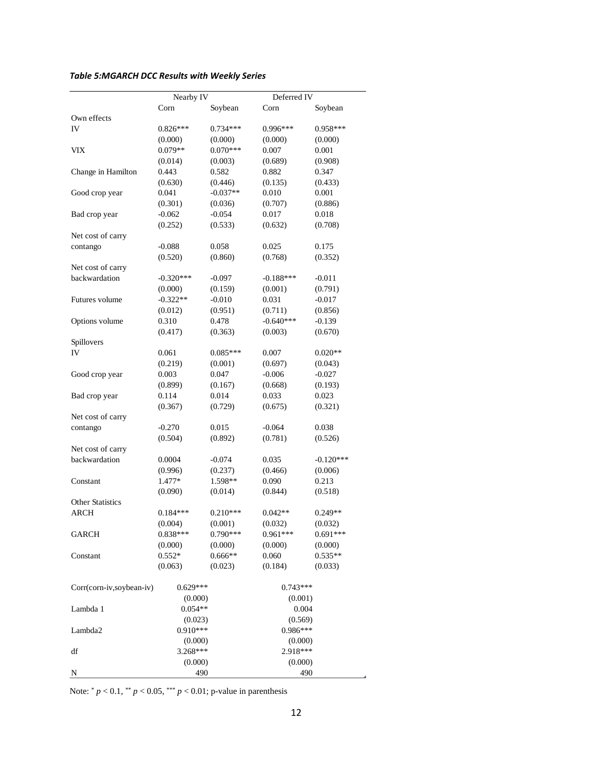# *Table 5:MGARCH DCC Results with Weekly Series*

|                          | Nearby IV   |                     | Deferred IV      |                  |  |
|--------------------------|-------------|---------------------|------------------|------------------|--|
|                          | Corn        | Soybean             | Corn             | Soybean          |  |
| Own effects              |             |                     |                  |                  |  |
| IV                       | $0.826***$  | $0.734***$          | 0.996***         | $0.958***$       |  |
|                          | (0.000)     | (0.000)             | (0.000)          | (0.000)          |  |
| VIX                      | $0.079**$   | $0.070***$          | 0.007            | 0.001            |  |
|                          | (0.014)     | (0.003)             | (0.689)          | (0.908)          |  |
| Change in Hamilton       | 0.443       | 0.582               | 0.882            | 0.347            |  |
|                          | (0.630)     | (0.446)             | (0.135)          | (0.433)          |  |
| Good crop year           | 0.041       | $-0.037**$          | 0.010            | 0.001            |  |
|                          | (0.301)     |                     |                  |                  |  |
|                          |             | (0.036)<br>$-0.054$ | (0.707)<br>0.017 | (0.886)<br>0.018 |  |
| Bad crop year            | $-0.062$    |                     |                  |                  |  |
|                          | (0.252)     | (0.533)             | (0.632)          | (0.708)          |  |
| Net cost of carry        |             |                     |                  |                  |  |
| contango                 | $-0.088$    | 0.058               | 0.025            | 0.175            |  |
|                          | (0.520)     | (0.860)             | (0.768)          | (0.352)          |  |
| Net cost of carry        |             |                     |                  |                  |  |
| backwardation            | $-0.320***$ | $-0.097$            | $-0.188***$      | $-0.011$         |  |
|                          | (0.000)     | (0.159)             | (0.001)          | (0.791)          |  |
| Futures volume           | $-0.322**$  | $-0.010$            | 0.031            | $-0.017$         |  |
|                          | (0.012)     | (0.951)             | (0.711)          | (0.856)          |  |
| Options volume           | 0.310       | 0.478               | $-0.640***$      | $-0.139$         |  |
|                          | (0.417)     | (0.363)             | (0.003)          | (0.670)          |  |
| Spillovers               |             |                     |                  |                  |  |
| IV                       | 0.061       | $0.085***$          | 0.007            | $0.020**$        |  |
|                          | (0.219)     | (0.001)             | (0.697)          | (0.043)          |  |
| Good crop year           | 0.003       | 0.047               | $-0.006$         | $-0.027$         |  |
|                          | (0.899)     | (0.167)             | (0.668)          | (0.193)          |  |
| Bad crop year            | 0.114       | 0.014               | 0.033            | 0.023            |  |
|                          | (0.367)     | (0.729)             | (0.675)          | (0.321)          |  |
| Net cost of carry        |             |                     |                  |                  |  |
| contango                 | $-0.270$    | 0.015               | $-0.064$         | 0.038            |  |
|                          | (0.504)     | (0.892)             | (0.781)          | (0.526)          |  |
| Net cost of carry        |             |                     |                  |                  |  |
| backwardation            | 0.0004      | $-0.074$            | 0.035            | $-0.120***$      |  |
|                          | (0.996)     | (0.237)             | (0.466)          | (0.006)          |  |
| Constant                 | $1.477*$    | 1.598**             | 0.090            | 0.213            |  |
|                          | (0.090)     | (0.014)             | (0.844)          | (0.518)          |  |
| <b>Other Statistics</b>  |             |                     |                  |                  |  |
| <b>ARCH</b>              | $0.184***$  | $0.210***$          | $0.042**$        | $0.249**$        |  |
|                          | (0.004)     | (0.001)             | (0.032)          | (0.032)          |  |
| GARCH                    | 0.838***    | $0.790***$          | $0.961***$       | $0.691***$       |  |
|                          | (0.000)     | (0.000)             | (0.000)          | (0.000)          |  |
| Constant                 | $0.552*$    | $0.666**$           | 0.060            | $0.535**$        |  |
|                          | (0.063)     | (0.023)             | (0.184)          | (0.033)          |  |
|                          |             |                     |                  |                  |  |
| Corr(corn-iv,soybean-iv) | $0.629***$  |                     | $0.743***$       |                  |  |
|                          | (0.000)     |                     | (0.001)          |                  |  |
| Lambda 1                 | $0.054**$   |                     | 0.004            |                  |  |
|                          | (0.023)     |                     | (0.569)          |                  |  |
| Lambda2                  | $0.910***$  |                     | $0.986***$       |                  |  |
|                          | (0.000)     |                     | (0.000)          |                  |  |
| df                       | 3.268***    |                     | 2.918***         |                  |  |
|                          | (0.000)     |                     | (0.000)          |                  |  |
| N                        | 490         |                     | 490              |                  |  |

Note:  $p < 0.1$ ,  $p < 0.05$ ,  $p > 0.01$ ; p-value in parenthesis

j.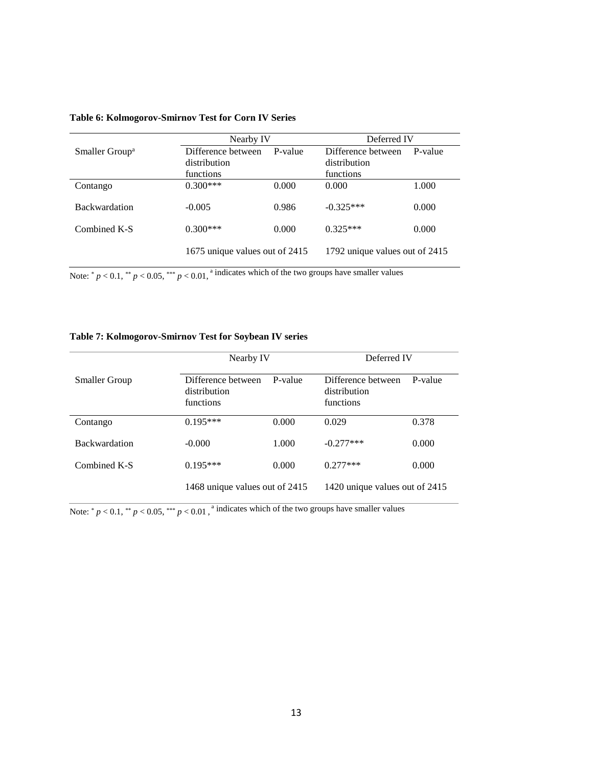|                            | Nearby IV                      |       | Deferred IV                    |         |  |
|----------------------------|--------------------------------|-------|--------------------------------|---------|--|
| Smaller Group <sup>a</sup> | P-value<br>Difference between  |       | Difference between             | P-value |  |
|                            | distribution                   |       | distribution                   |         |  |
|                            | functions                      |       | functions.                     |         |  |
| Contango                   | $0.300***$                     | 0.000 | 0.000                          | 1.000   |  |
| <b>Backwardation</b>       | $-0.005$                       | 0.986 | $-0.325***$                    | 0.000   |  |
| Combined K-S               | $0.300***$                     | 0.000 | $0.325***$                     | 0.000   |  |
|                            | 1675 unique values out of 2415 |       | 1792 unique values out of 2415 |         |  |

#### **Table 6: Kolmogorov-Smirnov Test for Corn IV Series**

Note:  $p < 0.1$ ,  $p < 0.05$ ,  $p < 0.01$ ,  $p$  indicates which of the two groups have smaller values

#### **Table 7: Kolmogorov-Smirnov Test for Soybean IV series**

|                      | Nearby IV                                       |         | Deferred IV                                     |         |
|----------------------|-------------------------------------------------|---------|-------------------------------------------------|---------|
| <b>Smaller Group</b> | Difference between<br>distribution<br>functions | P-value | Difference between<br>distribution<br>functions | P-value |
| Contango             | $0.195***$                                      | 0.000   | 0.029                                           | 0.378   |
| <b>Backwardation</b> | $-0.000$                                        | 1.000   | $-0.277***$                                     | 0.000   |
| Combined K-S         | $0.195***$                                      | 0.000   | $0.277***$                                      | 0.000   |
|                      | 1468 unique values out of 2415                  |         | 1420 unique values out of 2415                  |         |

Note:  $p < 0.1$ ,  $\binom{n}{2} < 0.05$ ,  $\binom{n}{2} < 0.01$ ,  $\binom{n}{2}$  indicates which of the two groups have smaller values